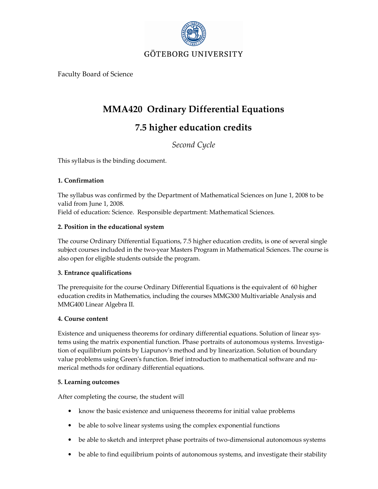

Faculty Board of Science

## MMA420 Ordinary Differential Equations

# 7.5 higher education credits

Second Cycle

This syllabus is the binding document.

### 1. Confirmation

The syllabus was confirmed by the Department of Mathematical Sciences on June 1, 2008 to be valid from June 1, 2008. Field of education: Science. Responsible department: Mathematical Sciences.

### 2. Position in the educational system

The course Ordinary Differential Equations, 7.5 higher education credits, is one of several single subject courses included in the two-year Masters Program in Mathematical Sciences. The course is also open for eligible students outside the program.

### 3. Entrance qualifications

The prerequisite for the course Ordinary Differential Equations is the equivalent of 60 higher education credits in Mathematics, including the courses MMG300 Multivariable Analysis and MMG400 Linear Algebra II.

### 4. Course content

Existence and uniqueness theorems for ordinary differential equations. Solution of linear systems using the matrix exponential function. Phase portraits of autonomous systems. Investigation of equilibrium points by Liapunov's method and by linearization. Solution of boundary value problems using Green's function. Brief introduction to mathematical software and numerical methods for ordinary differential equations.

### 5. Learning outcomes

After completing the course, the student will

- know the basic existence and uniqueness theorems for initial value problems
- be able to solve linear systems using the complex exponential functions
- be able to sketch and interpret phase portraits of two-dimensional autonomous systems
- be able to find equilibrium points of autonomous systems, and investigate their stability